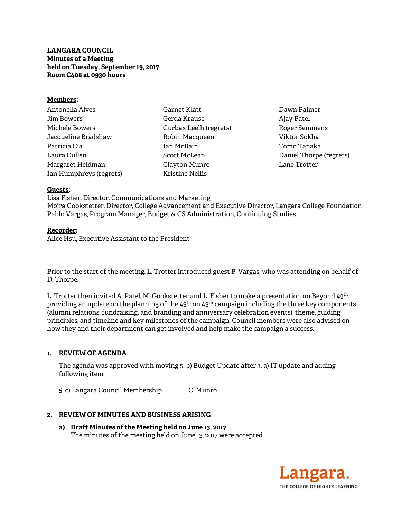# **LANGARA COUNCIL Minutes of a Meeting held on Tuesday, September 19, 2017 Room C408 at 0930 hours**

### **Members:**

| Antonella Alves         |
|-------------------------|
| Jim Bowers              |
| Michele Bowers          |
| Jacqueline Bradshaw     |
| Patricia Cia            |
| Laura Cullen            |
| Margaret Heldman        |
| Ian Humphreys (regrets) |

Garnet Klatt Gerda Krause Gurbax Leelh (regrets) Robin Macqueen Ian McBain Scott McLean Clayton Munro Kristine Nellis

Dawn Palmer Ajay Patel Roger Semmens Viktor Sokha Tomo Tanaka Daniel Thorpe (regrets) Lane Trotter

### **Guests:**

Lisa Fisher, Director, Communications and Marketing Moira Gookstetter, Director, College Advancement and Executive Director, Langara College Foundation Pablo Vargas, Program Manager, Budget & CS Administration, Continuing Studies

### **Recorder:**

Alice Hsu, Executive Assistant to the President

Prior to the start of the meeting, L. Trotter introduced guest P. Vargas, who was attending on behalf of D. Thorpe.

L. Trotter then invited A. Patel, M. Gookstetter and L. Fisher to make a presentation on Beyond 49<sup>th</sup> providing an update on the planning of the 49<sup>th</sup> on 49<sup>th</sup> campaign including the three key components (alumni relations, fundraising, and branding and anniversary celebration events), theme, guiding principles, and timeline and key milestones of the campaign. Council members were also advised on how they and their department can get involved and help make the campaign a success.

# **1. REVIEW OF AGENDA**

 The agenda was approved with moving 5. b) Budget Update after 3. a) IT update and adding following item:

5. c) Langara Council Membership C. Munro

# **2. REVIEW OF MINUTES AND BUSINESS ARISING**

**a) Draft Minutes of the Meeting held on June 13, 2017**  The minutes of the meeting held on June 13, 2017 were accepted.

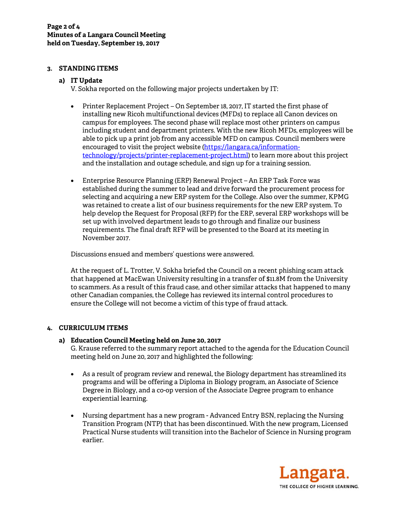# **3. STANDING ITEMS**

# **a) IT Update**

V. Sokha reported on the following major projects undertaken by IT:

- Printer Replacement Project On September 18, 2017, IT started the first phase of installing new Ricoh multifunctional devices (MFDs) to replace all Canon devices on campus for employees. The second phase will replace most other printers on campus including student and department printers. With the new Ricoh MFDs, employees will be able to pick up a print job from any accessible MFD on campus. Council members were encouraged to visit the project website (https://langara.ca/informationtechnology/projects/printer-replacement-project.html) to learn more about this project and the installation and outage schedule, and sign up for a training session.
- Enterprise Resource Planning (ERP) Renewal Project An ERP Task Force was established during the summer to lead and drive forward the procurement process for selecting and acquiring a new ERP system for the College. Also over the summer, KPMG was retained to create a list of our business requirements for the new ERP system. To help develop the Request for Proposal (RFP) for the ERP, several ERP workshops will be set up with involved department leads to go through and finalize our business requirements. The final draft RFP will be presented to the Board at its meeting in November 2017.

Discussions ensued and members' questions were answered.

At the request of L. Trotter, V. Sokha briefed the Council on a recent phishing scam attack that happened at MacEwan University resulting in a transfer of \$11.8M from the University to scammers. As a result of this fraud case, and other similar attacks that happened to many other Canadian companies, the College has reviewed its internal control procedures to ensure the College will not become a victim of this type of fraud attack.

# **4. CURRICULUM ITEMS**

# **a) Education Council Meeting held on June 20, 2017**

G. Krause referred to the summary report attached to the agenda for the Education Council meeting held on June 20, 2017 and highlighted the following:

- As a result of program review and renewal, the Biology department has streamlined its programs and will be offering a Diploma in Biology program, an Associate of Science Degree in Biology, and a co-op version of the Associate Degree program to enhance experiential learning.
- Nursing department has a new program Advanced Entry BSN, replacing the Nursing Transition Program (NTP) that has been discontinued. With the new program, Licensed Practical Nurse students will transition into the Bachelor of Science in Nursing program earlier.

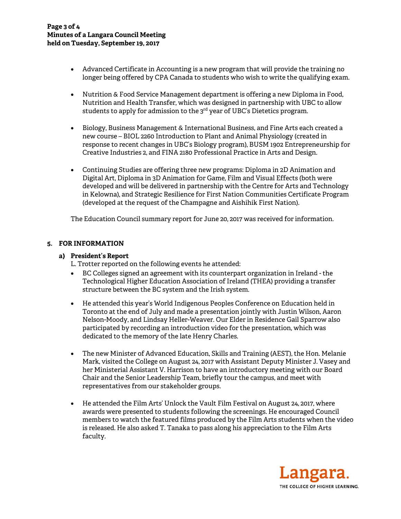- Advanced Certificate in Accounting is a new program that will provide the training no longer being offered by CPA Canada to students who wish to write the qualifying exam.
- Nutrition & Food Service Management department is offering a new Diploma in Food, Nutrition and Health Transfer, which was designed in partnership with UBC to allow students to apply for admission to the 3<sup>rd</sup> year of UBC's Dietetics program.
- Biology, Business Management & International Business, and Fine Arts each created a new course – BIOL 2260 Introduction to Plant and Animal Physiology (created in response to recent changes in UBC's Biology program), BUSM 1902 Entrepreneurship for Creative Industries 2, and FINA 2180 Professional Practice in Arts and Design.
- Continuing Studies are offering three new programs: Diploma in 2D Animation and Digital Art, Diploma in 3D Animation for Game, Film and Visual Effects (both were developed and will be delivered in partnership with the Centre for Arts and Technology in Kelowna), and Strategic Resilience for First Nation Communities Certificate Program (developed at the request of the Champagne and Aishihik First Nation).

The Education Council summary report for June 20, 2017 was received for information.

# **5. FOR INFORMATION**

### **a) President's Report**

- L. Trotter reported on the following events he attended:
- BC Colleges signed an agreement with its counterpart organization in Ireland the Technological Higher Education Association of Ireland (THEA) providing a transfer structure between the BC system and the Irish system.
- He attended this year's World Indigenous Peoples Conference on Education held in Toronto at the end of July and made a presentation jointly with Justin Wilson, Aaron Nelson-Moody, and Lindsay Heller-Weaver. Our Elder in Residence Gail Sparrow also participated by recording an introduction video for the presentation, which was dedicated to the memory of the late Henry Charles.
- The new Minister of Advanced Education, Skills and Training (AEST), the Hon. Melanie Mark, visited the College on August 24, 2017 with Assistant Deputy Minister J. Vasey and her Ministerial Assistant V. Harrison to have an introductory meeting with our Board Chair and the Senior Leadership Team, briefly tour the campus, and meet with representatives from our stakeholder groups.
- He attended the Film Arts' Unlock the Vault Film Festival on August 24, 2017, where awards were presented to students following the screenings. He encouraged Council members to watch the featured films produced by the Film Arts students when the video is released. He also asked T. Tanaka to pass along his appreciation to the Film Arts faculty.